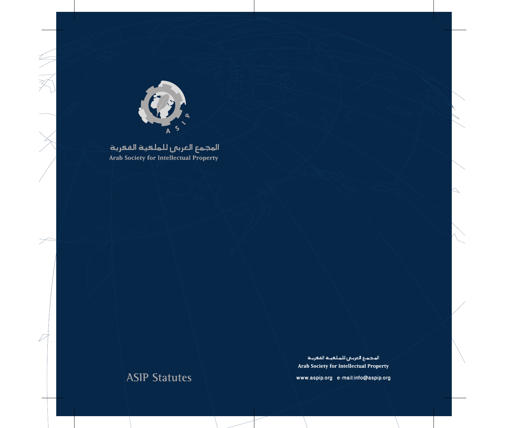

## المجمع العربى للملكية الفعرية **Arab Society for Intellectual Property**

# **ASIP Statutes**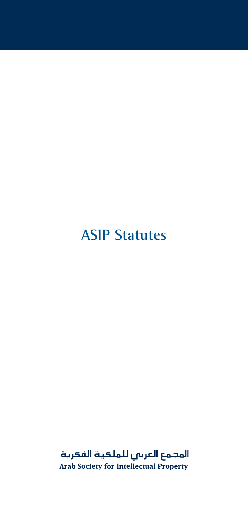## **ASIP Statutes**

المجمع العربي للملعية الفعرية Arab Society for Intellectual Property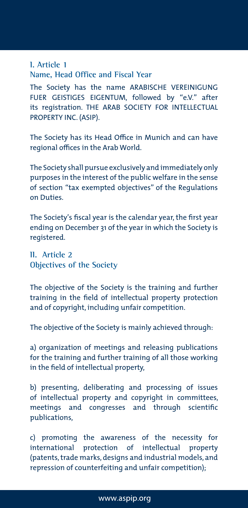## **I. Article 1 Name, Head Office and Fiscal Year**

The Society has the name ARABISCHE VEREINIGUNG FUER GEISTIGES EIGENTUM, followed by "e.V." after its registration. THE ARAB SOCIETY FOR INTELLECTUAL PROPERTY INC. (ASIP).

The Society has its Head Office in Munich and can have regional offices in the Arab World.

The Society shall pursue exclusively and immediately only purposes in the interest of the public welfare in the sense of section "tax exempted objectives" of the Regulations on Duties.

The Society's fiscal year is the calendar year, the first year ending on December 31 of the year in which the Society is registered.

**II. Article 2 Objectives of the Society** 

The objective of the Society is the training and further training in the field of intellectual property protection and of copyright, including unfair competition.

The objective of the Society is mainly achieved through:

a) organization of meetings and releasing publications for the training and further training of all those working in the field of intellectual property,

b) presenting, deliberating and processing of issues of intellectual property and copyright in committees, meetings and congresses and through scientific publications,

c) promoting the awareness of the necessity for international protection of intellectual property (patents, trade marks, designs and industrial models, and repression of counterfeiting and unfair competition);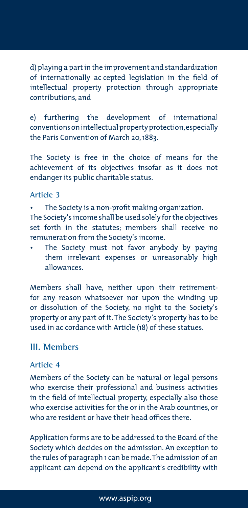d) playing a part in the improvement and standardization of internationally ac cepted legislation in the field of intellectual property protection through appropriate contributions, and

e) furthering the development of international conventions on intellectual property protection, especially the Paris Convention of March 20, 1883.

The Society is free in the choice of means for the achievement of its objectives insofar as it does not endanger its public charitable status.

## **Article 3**

The Society is a non-profit making organization.

The Society's income shall be used solely for the objectives set forth in the statutes; members shall receive no remuneration from the Society's income.

The Society must not favor anybody by paying them irrelevant expenses or unreasonably high allowances.

Members shall have, neither upon their retirementfor any reason whatsoever nor upon the winding up or dissolution of the Society, no right to the Society's property or any part of it. The Society's property has to be used in ac cordance with Article (18) of these statues.

## **III. Members**

## **Article 4**

Members of the Society can be natural or legal persons who exercise their professional and business activities in the field of intellectual property, especially also those who exercise activities for the or in the Arab countries, or who are resident or have their head offices there.

Application forms are to be addressed to the Board of the Society which decides on the admission. An exception to the rules of paragraph 1 can be made. The admission of an applicant can depend on the applicant's credibility with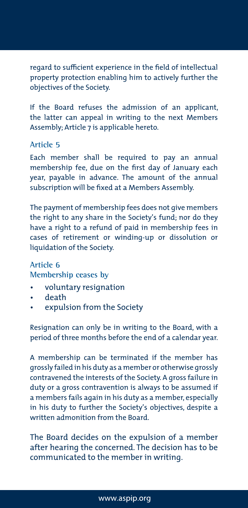regard to sufficient experience in the field of intellectual property protection enabling him to actively further the objectives of the Society.

If the Board refuses the admission of an applicant, the latter can appeal in writing to the next Members Assembly; Article 7 is applicable hereto.

## **Article 5**

Each member shall be required to pay an annual membership fee, due on the first day of January each year, payable in advance. The amount of the annual subscription will be fixed at a Members Assembly.

The payment of membership fees does not give members the right to any share in the Society's fund; nor do they have a right to a refund of paid in membership fees in cases of retirement or winding-up or dissolution or liquidation of the Society.

## **Article 6**

**Membership ceases by** 

- voluntary resignation
- death
- expulsion from the Society

Resignation can only be in writing to the Board, with a period of three months before the end of a calendar year.

A membership can be terminated if the member has grossly failed in his duty as a member or otherwise grossly contravened the interests of the Society. A gross failure in duty or a gross contravention is always to be assumed if a members fails again in his duty as a member, especially in his duty to further the Society's objectives, despite a written admonition from the Board.

The Board decides on the expulsion of a member after hearing the concerned. The decision has to be communicated to the member in writing.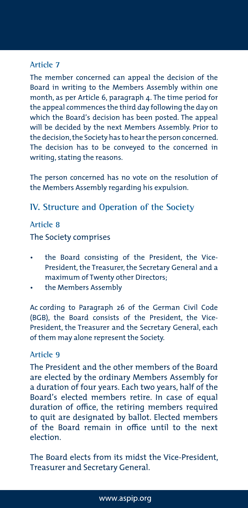## **Article 7**

The member concerned can appeal the decision of the Board in writing to the Members Assembly within one month, as per Article 6, paragraph 4. The time period for the appeal commences the third day following the day on which the Board's decision has been posted. The appeal will be decided by the next Members Assembly. Prior to the decision, the Society has to hear the person concerned. The decision has to be conveyed to the concerned in writing, stating the reasons.

The person concerned has no vote on the resolution of the Members Assembly regarding his expulsion.

## **IV. Structure and Operation of the Society**

## **Article 8**

The Society comprises

- the Board consisting of the President, the Vice-President, the Treasurer, the Secretary General and a maximum of Twenty other Directors;
- the Members Assembly

Ac cording to Paragraph 26 of the German Civil Code (BGB), the Board consists of the President, the Vice-President, the Treasurer and the Secretary General, each of them may alone represent the Society.

## **Article 9**

The President and the other members of the Board are elected by the ordinary Members Assembly for a duration of four years. Each two years, half of the Board's elected members retire. In case of equal duration of office, the retiring members required to quit are designated by ballot. Elected members of the Board remain in office until to the next election.

The Board elects from its midst the Vice-President, Treasurer and Secretary General.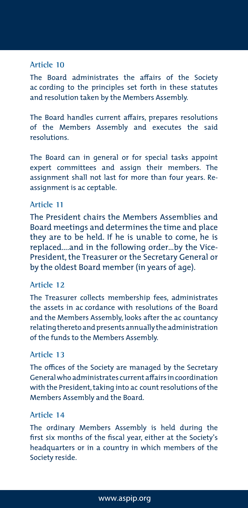### **Article 10**

The Board administrates the affairs of the Society ac cording to the principles set forth in these statutes and resolution taken by the Members Assembly.

The Board handles current affairs, prepares resolutions of the Members Assembly and executes the said resolutions.

The Board can in general or for special tasks appoint expert committees and assign their members. The assignment shall not last for more than four years. Reassignment is ac ceptable.

## **Article 11**

The President chairs the Members Assemblies and Board meetings and determines the time and place they are to be held. If he is unable to come, he is replaced….and in the following order…by the Vice-President, the Treasurer or the Secretary General or by the oldest Board member (in years of age).

### **Article 12**

The Treasurer collects membership fees, administrates the assets in ac cordance with resolutions of the Board and the Members Assembly, looks after the ac countancy relating thereto and presents annually the administration of the funds to the Members Assembly.

### **Article 13**

The offices of the Society are managed by the Secretary General who administrates current affairs in coordination with the President, taking into ac count resolutions of the Members Assembly and the Board.

### **Article 14**

The ordinary Members Assembly is held during the first six months of the fiscal year, either at the Society's headquarters or in a country in which members of the Society reside.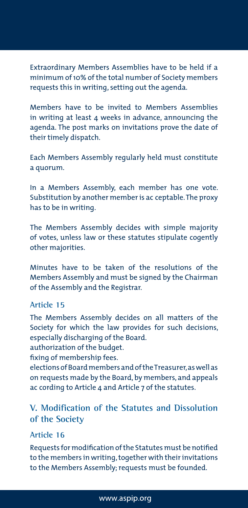Extraordinary Members Assemblies have to be held if a minimum of 10% of the total number of Society members requests this in writing, setting out the agenda.

Members have to be invited to Members Assemblies in writing at least 4 weeks in advance, announcing the agenda. The post marks on invitations prove the date of their timely dispatch.

Each Members Assembly regularly held must constitute a quorum.

In a Members Assembly, each member has one vote. Substitution by another member is ac ceptable. The proxy has to be in writing.

The Members Assembly decides with simple majority of votes, unless law or these statutes stipulate cogently other majorities.

Minutes have to be taken of the resolutions of the Members Assembly and must be signed by the Chairman of the Assembly and the Registrar.

## **Article 15**

The Members Assembly decides on all matters of the Society for which the law provides for such decisions, especially discharging of the Board.

authorization of the budget.

fixing of membership fees.

elections of Board members and of the Treasurer, as well as on requests made by the Board, by members, and appeals ac cording to Article 4 and Article 7 of the statutes.

## **V. Modification of the Statutes and Dissolution of the Society**

### **Article 16**

Requests for modification of the Statutes must be notified to the members in writing, together with their invitations to the Members Assembly; requests must be founded.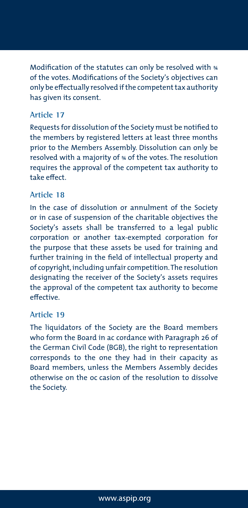Modification of the statutes can only be resolved with  $*$ of the votes. Modifications of the Society's objectives can only be effectually resolved if the competent tax authority has given its consent.

### **Article 17**

Requests for dissolution of the Society must be notified to the members by registered letters at least three months prior to the Members Assembly. Dissolution can only be resolved with a majority of ¾ of the votes. The resolution requires the approval of the competent tax authority to take effect.

### **Article 18**

In the case of dissolution or annulment of the Society or in case of suspension of the charitable objectives the Society's assets shall be transferred to a legal public corporation or another tax-exempted corporation for the purpose that these assets be used for training and further training in the field of intellectual property and of copyright, including unfair competition. The resolution designating the receiver of the Society's assets requires the approval of the competent tax authority to become effective.

### **Article 19**

The liquidators of the Society are the Board members who form the Board in ac cordance with Paragraph 26 of the German Civil Code (BGB), the right to representation corresponds to the one they had in their capacity as Board members, unless the Members Assembly decides otherwise on the oc casion of the resolution to dissolve the Society.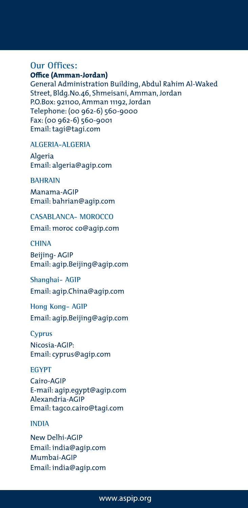#### **Our Offices: Office (Amman-Jordan)**

General Administration Building, Abdul Rahim Al-Waked Street, Bldg.No.46, Shmeisani, Amman, Jordan P.O.Box: 921100, Amman 11192, Jordan Telephone: (00 962-6) 560-9000 Fax: (00 962-6) 560-9001 Email: tagi@tagi.com

#### **ALGERIA-ALGERIA**

Algeria Email: algeria@agip.com

#### **BAHRAIN**

Manama-AGIP Email: bahrian@agip.com

**CASABLANCA- MOROCCO**  Email: moroc co@agip.com

#### **CHINA**

Beijing- AGIP Email: agip.Beijing@agip.com

**Shanghai- AGIP**  Email: agip.China@agip.com

**Hong Kong- AGIP** Email: agip.Beijing@agip.com

## **Cyprus**

Nicosia-AGIP: Email: cyprus@agip.com

#### **EGYPT**

Cairo-AGIP E-mail: agip.egypt@agip.com Alexandria-AGIP Email: tagco.cairo@tagi.com

#### **INDIA**

New Delhi-AGIP Email: india@agip.com Mumbai-AGIP Email: india@agip.com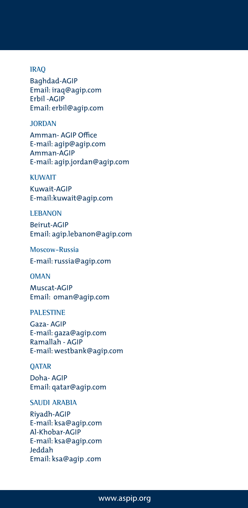#### **IRAQ**

Baghdad-AGIP Email: iraq@agip.com Erbil -AGIP Email: erbil@agip.com

#### **JORDAN**

Amman- AGIP Office E-mail: agip@agip.com Amman-AGIP E-mail: agip.jordan@agip.com

#### **KUWAIT**

Kuwait-AGIP E-mail:kuwait@agip.com

#### **LEBANON**

Beirut-AGIP Email: agip.lebanon@agip.com

**Moscow-Russia** 

E-mail: russia@agip.com

#### **OMAN**

Muscat-AGIP Email: oman@agip.com

## **PALESTINE**

Gaza- AGIP E-mail: gaza@agip.com Ramallah - AGIP E-mail: westbank@agip.com

#### **QATAR**

Doha- AGIP Email: qatar@agip.com

#### **SAUDI ARABIA**

Riyadh-AGIP E-mail: ksa@agip.com Al-Khobar-AGIP E-mail: ksa@agip.com Jeddah Email: ksa@agip .com